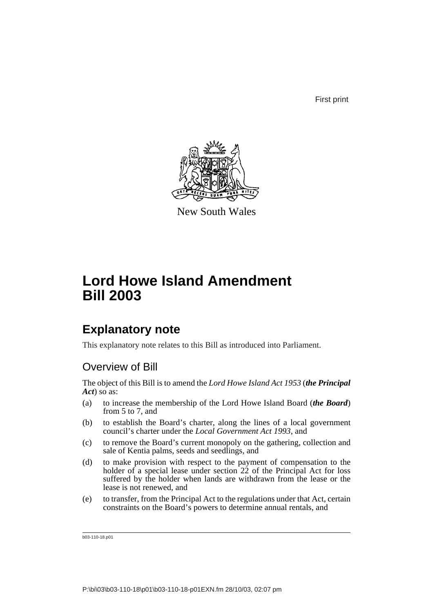First print



New South Wales

# **Lord Howe Island Amendment Bill 2003**

# **Explanatory note**

This explanatory note relates to this Bill as introduced into Parliament.

# Overview of Bill

The object of this Bill is to amend the *Lord Howe Island Act 1953* (*the Principal Act*) so as:

- (a) to increase the membership of the Lord Howe Island Board (*the Board*) from 5 to 7, and
- (b) to establish the Board's charter, along the lines of a local government council's charter under the *Local Government Act 1993*, and
- (c) to remove the Board's current monopoly on the gathering, collection and sale of Kentia palms, seeds and seedlings, and
- (d) to make provision with respect to the payment of compensation to the holder of a special lease under section 22 of the Principal Act for loss suffered by the holder when lands are withdrawn from the lease or the lease is not renewed, and
- (e) to transfer, from the Principal Act to the regulations under that Act, certain constraints on the Board's powers to determine annual rentals, and

b03-110-18.p01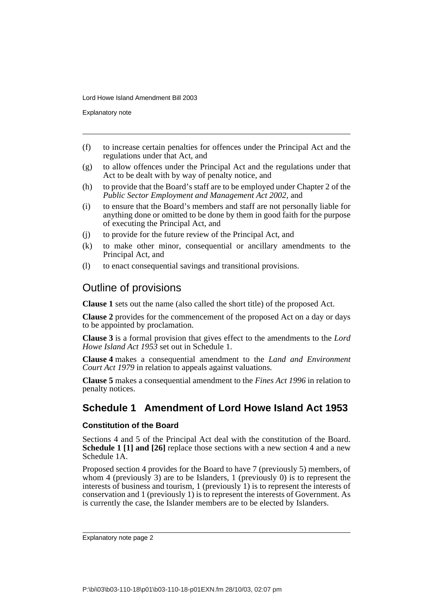Explanatory note

- (f) to increase certain penalties for offences under the Principal Act and the regulations under that Act, and
- (g) to allow offences under the Principal Act and the regulations under that Act to be dealt with by way of penalty notice, and
- (h) to provide that the Board's staff are to be employed under Chapter 2 of the *Public Sector Employment and Management Act 2002*, and
- (i) to ensure that the Board's members and staff are not personally liable for anything done or omitted to be done by them in good faith for the purpose of executing the Principal Act, and
- (j) to provide for the future review of the Principal Act, and
- (k) to make other minor, consequential or ancillary amendments to the Principal Act, and
- (l) to enact consequential savings and transitional provisions.

# Outline of provisions

**Clause 1** sets out the name (also called the short title) of the proposed Act.

**Clause 2** provides for the commencement of the proposed Act on a day or days to be appointed by proclamation.

**Clause 3** is a formal provision that gives effect to the amendments to the *Lord Howe Island Act 1953* set out in Schedule 1.

**Clause 4** makes a consequential amendment to the *Land and Environment Court Act 1979* in relation to appeals against valuations.

**Clause 5** makes a consequential amendment to the *Fines Act 1996* in relation to penalty notices.

# **Schedule 1 Amendment of Lord Howe Island Act 1953**

# **Constitution of the Board**

Sections 4 and 5 of the Principal Act deal with the constitution of the Board. **Schedule 1 [1] and [26]** replace those sections with a new section 4 and a new Schedule 1A.

Proposed section 4 provides for the Board to have 7 (previously 5) members, of whom 4 (previously 3) are to be Islanders, 1 (previously 0) is to represent the interests of business and tourism, 1 (previously 1) is to represent the interests of conservation and 1 (previously 1) is to represent the interests of Government. As is currently the case, the Islander members are to be elected by Islanders.

Explanatory note page 2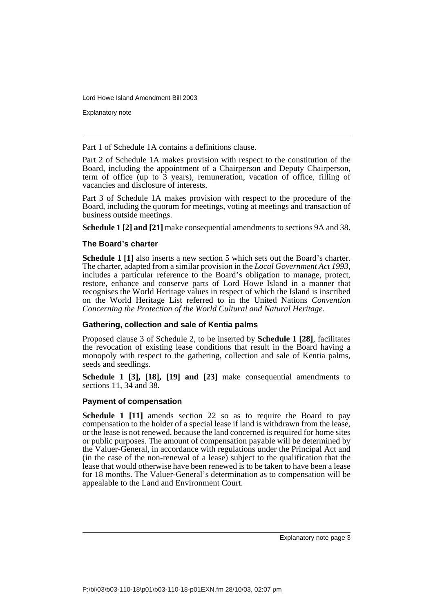Explanatory note

Part 1 of Schedule 1A contains a definitions clause.

Part 2 of Schedule 1A makes provision with respect to the constitution of the Board, including the appointment of a Chairperson and Deputy Chairperson, term of office (up to  $\overline{3}$  years), remuneration, vacation of office, filling of vacancies and disclosure of interests.

Part 3 of Schedule 1A makes provision with respect to the procedure of the Board, including the quorum for meetings, voting at meetings and transaction of business outside meetings.

**Schedule 1 [2] and [21]** make consequential amendments to sections 9A and 38.

# **The Board's charter**

**Schedule 1** [1] also inserts a new section 5 which sets out the Board's charter. The charter, adapted from a similar provision in the *Local Government Act 1993*, includes a particular reference to the Board's obligation to manage, protect, restore, enhance and conserve parts of Lord Howe Island in a manner that recognises the World Heritage values in respect of which the Island is inscribed on the World Heritage List referred to in the United Nations *Convention Concerning the Protection of the World Cultural and Natural Heritage*.

# **Gathering, collection and sale of Kentia palms**

Proposed clause 3 of Schedule 2, to be inserted by **Schedule 1 [28]**, facilitates the revocation of existing lease conditions that result in the Board having a monopoly with respect to the gathering, collection and sale of Kentia palms, seeds and seedlings.

**Schedule 1 [3], [18], [19] and [23]** make consequential amendments to sections 11, 34 and 38.

# **Payment of compensation**

**Schedule 1 [11]** amends section 22 so as to require the Board to pay compensation to the holder of a special lease if land is withdrawn from the lease, or the lease is not renewed, because the land concerned is required for home sites or public purposes. The amount of compensation payable will be determined by the Valuer-General, in accordance with regulations under the Principal Act and (in the case of the non-renewal of a lease) subject to the qualification that the lease that would otherwise have been renewed is to be taken to have been a lease for 18 months. The Valuer-General's determination as to compensation will be appealable to the Land and Environment Court.

Explanatory note page 3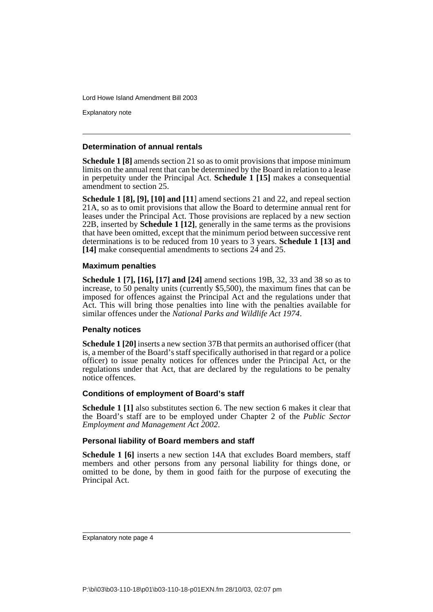Explanatory note

# **Determination of annual rentals**

**Schedule 1 [8]** amends section 21 so as to omit provisions that impose minimum limits on the annual rent that can be determined by the Board in relation to a lease in perpetuity under the Principal Act. **Schedule 1 [15]** makes a consequential amendment to section 25.

**Schedule 1 [8], [9], [10] and [11**] amend sections 21 and 22, and repeal section 21A, so as to omit provisions that allow the Board to determine annual rent for leases under the Principal Act. Those provisions are replaced by a new section 22B, inserted by **Schedule 1 [12]**, generally in the same terms as the provisions that have been omitted, except that the minimum period between successive rent determinations is to be reduced from 10 years to 3 years. **Schedule 1 [13] and [14]** make consequential amendments to sections 24 and 25.

# **Maximum penalties**

**Schedule 1 [7], [16], [17] and [24]** amend sections 19B, 32, 33 and 38 so as to increase, to 50 penalty units (currently \$5,500), the maximum fines that can be imposed for offences against the Principal Act and the regulations under that Act. This will bring those penalties into line with the penalties available for similar offences under the *National Parks and Wildlife Act 1974*.

# **Penalty notices**

**Schedule 1 [20]** inserts a new section 37B that permits an authorised officer (that is, a member of the Board's staff specifically authorised in that regard or a police officer) to issue penalty notices for offences under the Principal Act, or the regulations under that Act, that are declared by the regulations to be penalty notice offences.

# **Conditions of employment of Board's staff**

**Schedule 1** [1] also substitutes section 6. The new section 6 makes it clear that the Board's staff are to be employed under Chapter 2 of the *Public Sector Employment and Management Act 2002*.

# **Personal liability of Board members and staff**

**Schedule 1 [6]** inserts a new section 14A that excludes Board members, staff members and other persons from any personal liability for things done, or omitted to be done, by them in good faith for the purpose of executing the Principal Act.

Explanatory note page 4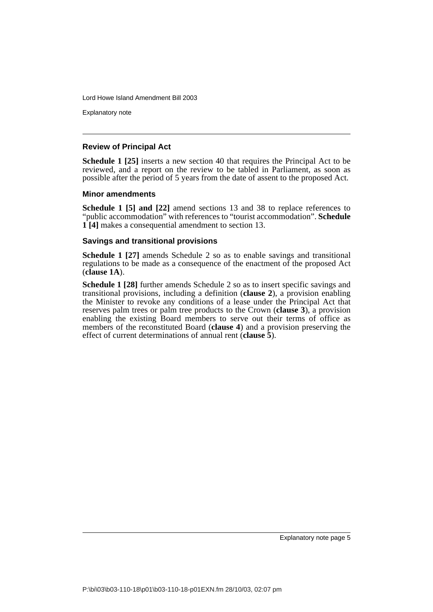Explanatory note

# **Review of Principal Act**

**Schedule 1 [25]** inserts a new section 40 that requires the Principal Act to be reviewed, and a report on the review to be tabled in Parliament, as soon as possible after the period of 5 years from the date of assent to the proposed Act.

#### **Minor amendments**

**Schedule 1 [5] and [22]** amend sections 13 and 38 to replace references to "public accommodation" with references to "tourist accommodation". **Schedule 1 [4]** makes a consequential amendment to section 13.

# **Savings and transitional provisions**

**Schedule 1 [27]** amends Schedule 2 so as to enable savings and transitional regulations to be made as a consequence of the enactment of the proposed Act (**clause 1A**).

**Schedule 1 [28]** further amends Schedule 2 so as to insert specific savings and transitional provisions, including a definition (**clause 2**), a provision enabling the Minister to revoke any conditions of a lease under the Principal Act that reserves palm trees or palm tree products to the Crown (**clause 3**), a provision enabling the existing Board members to serve out their terms of office as members of the reconstituted Board (**clause 4**) and a provision preserving the effect of current determinations of annual rent (**clause 5**).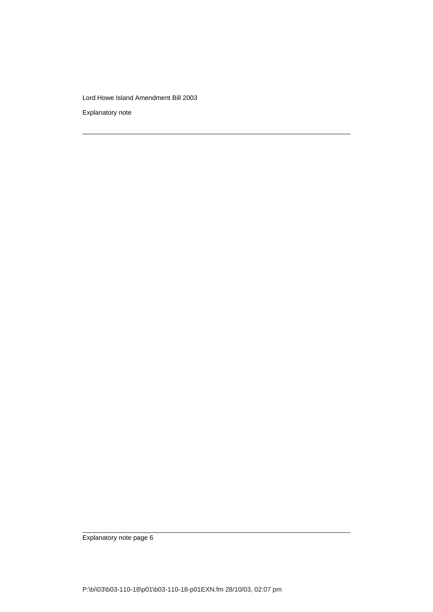Explanatory note

Explanatory note page 6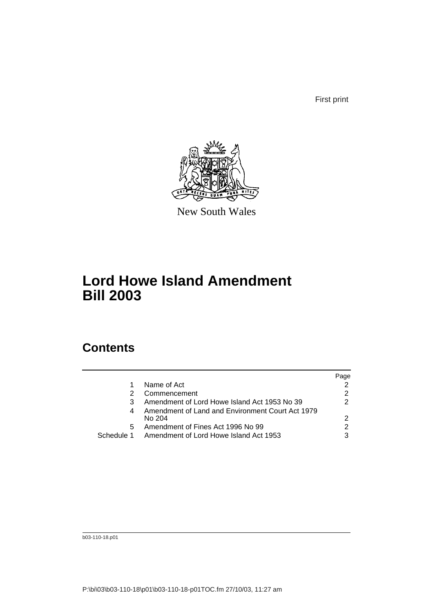First print



New South Wales

# **Lord Howe Island Amendment Bill 2003**

# **Contents**

|            |                                                            | Page          |
|------------|------------------------------------------------------------|---------------|
|            | Name of Act                                                |               |
|            | Commencement                                               | 2             |
|            | Amendment of Lord Howe Island Act 1953 No 39               | $\mathcal{P}$ |
|            | Amendment of Land and Environment Court Act 1979<br>No 204 | 2             |
| 5          | Amendment of Fines Act 1996 No 99                          | 2             |
| Schedule 1 | Amendment of Lord Howe Island Act 1953                     | 3             |

b03-110-18.p01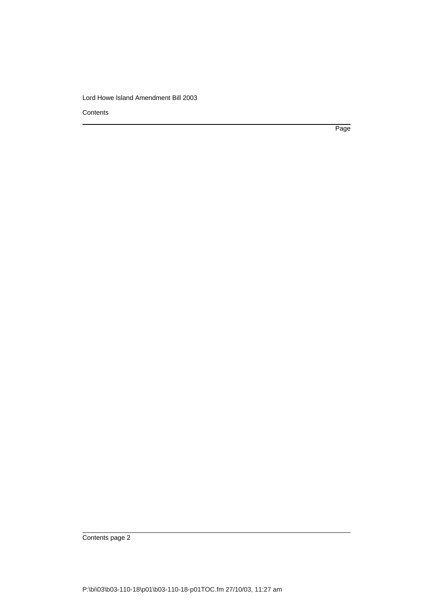**Contents** 

Page

Contents page 2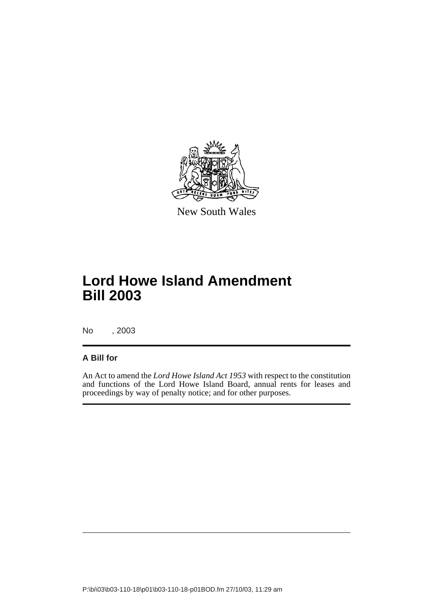

New South Wales

# **Lord Howe Island Amendment Bill 2003**

No , 2003

# **A Bill for**

An Act to amend the *Lord Howe Island Act 1953* with respect to the constitution and functions of the Lord Howe Island Board, annual rents for leases and proceedings by way of penalty notice; and for other purposes.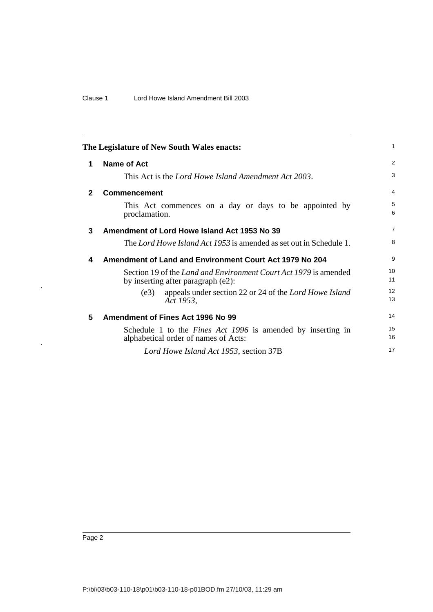<span id="page-9-1"></span><span id="page-9-0"></span>

|                         | The Legislature of New South Wales enacts:                                                                    | 1              |  |  |  |  |
|-------------------------|---------------------------------------------------------------------------------------------------------------|----------------|--|--|--|--|
| <b>Name of Act</b><br>1 |                                                                                                               |                |  |  |  |  |
|                         | This Act is the Lord Howe Island Amendment Act 2003.                                                          | 3              |  |  |  |  |
| $\mathbf{2}$            | <b>Commencement</b>                                                                                           | $\overline{4}$ |  |  |  |  |
|                         | This Act commences on a day or days to be appointed by<br>proclamation.                                       | 5<br>6         |  |  |  |  |
| 3                       | Amendment of Lord Howe Island Act 1953 No 39                                                                  | $\overline{7}$ |  |  |  |  |
|                         | The <i>Lord Howe Island Act 1953</i> is amended as set out in Schedule 1.                                     | 8              |  |  |  |  |
| 4                       | Amendment of Land and Environment Court Act 1979 No 204                                                       | 9              |  |  |  |  |
|                         | Section 19 of the <i>Land and Environment Court Act 1979</i> is amended<br>by inserting after paragraph (e2): | 10<br>11       |  |  |  |  |
|                         | appeals under section 22 or 24 of the Lord Howe Island<br>(e3)<br>Act 1953,                                   | 12<br>13       |  |  |  |  |
| 5                       | Amendment of Fines Act 1996 No 99                                                                             | 14             |  |  |  |  |
|                         | Schedule 1 to the <i>Fines Act 1996</i> is amended by inserting in<br>alphabetical order of names of Acts:    | 15<br>16       |  |  |  |  |
|                         | Lord Howe Island Act 1953, section 37B                                                                        | 17             |  |  |  |  |

<span id="page-9-4"></span><span id="page-9-3"></span><span id="page-9-2"></span>J,

l.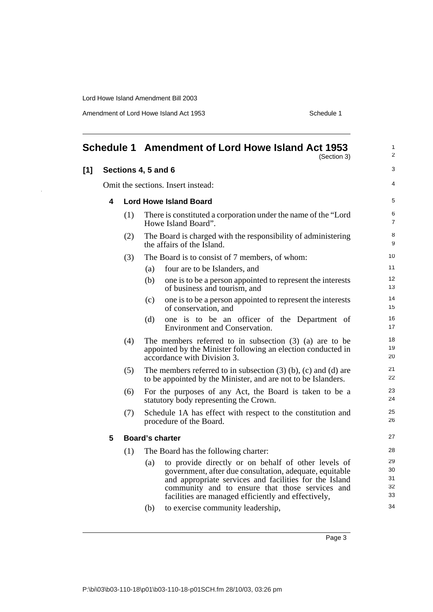$\bar{\mathcal{A}}$ 

Amendment of Lord Howe Island Act 1953 Schedule 1

<span id="page-10-0"></span>

|     |   |     | Schedule 1 Amendment of Lord Howe Island Act 1953<br>(Section 3)                                                                                           | 1<br>2              |
|-----|---|-----|------------------------------------------------------------------------------------------------------------------------------------------------------------|---------------------|
| [1] |   |     | Sections 4, 5 and 6                                                                                                                                        | 3                   |
|     |   |     | Omit the sections. Insert instead:                                                                                                                         | $\overline{4}$      |
|     | 4 |     | <b>Lord Howe Island Board</b>                                                                                                                              | 5                   |
|     |   |     |                                                                                                                                                            |                     |
|     |   | (1) | There is constituted a corporation under the name of the "Lord"<br>Howe Island Board".                                                                     | 6<br>$\overline{7}$ |
|     |   | (2) | The Board is charged with the responsibility of administering<br>the affairs of the Island.                                                                | 8<br>9              |
|     |   | (3) | The Board is to consist of 7 members, of whom:                                                                                                             | 10                  |
|     |   |     | four are to be Islanders, and<br>(a)                                                                                                                       | 11                  |
|     |   |     | (b)<br>one is to be a person appointed to represent the interests<br>of business and tourism, and                                                          | 12<br>13            |
|     |   |     | one is to be a person appointed to represent the interests<br>(c)<br>of conservation, and                                                                  | 14<br>15            |
|     |   |     | (d)<br>one is to be an officer of the Department of<br>Environment and Conservation.                                                                       | 16<br>17            |
|     |   | (4) | The members referred to in subsection $(3)$ $(a)$ are to be<br>appointed by the Minister following an election conducted in<br>accordance with Division 3. | 18<br>19<br>20      |
|     |   | (5) | The members referred to in subsection $(3)$ (b), (c) and (d) are<br>to be appointed by the Minister, and are not to be Islanders.                          | 21<br>22            |
|     |   | (6) | For the purposes of any Act, the Board is taken to be a<br>statutory body representing the Crown.                                                          | 23<br>24            |
|     |   | (7) | Schedule 1A has effect with respect to the constitution and<br>procedure of the Board.                                                                     | 25<br>26            |
|     | 5 |     | <b>Board's charter</b>                                                                                                                                     | 27                  |
|     |   | (1) | The Board has the following charter:                                                                                                                       | 28                  |
|     |   |     | to provide directly or on behalf of other levels of<br>(a)                                                                                                 | 29                  |
|     |   |     | government, after due consultation, adequate, equitable                                                                                                    | 30                  |
|     |   |     | and appropriate services and facilities for the Island                                                                                                     | 31                  |
|     |   |     | community and to ensure that those services and                                                                                                            | 32                  |
|     |   |     | facilities are managed efficiently and effectively,                                                                                                        | 33                  |
|     |   |     | to exercise community leadership,<br>(b)                                                                                                                   | 34                  |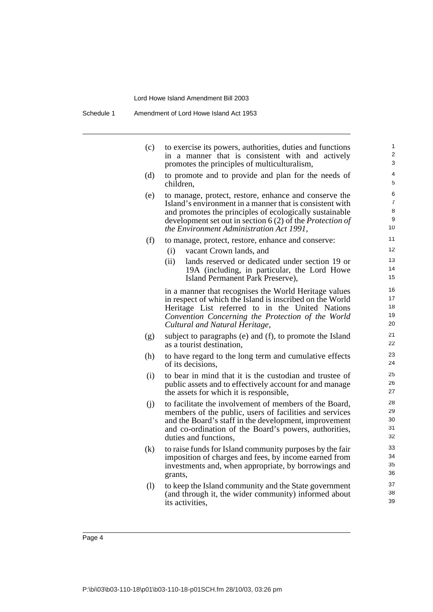| (c) | to exercise its powers, authorities, duties and functions<br>in a manner that is consistent with and actively<br>promotes the principles of multiculturalism,                                                                                                                                 | 1<br>$\overline{2}$<br>3            |
|-----|-----------------------------------------------------------------------------------------------------------------------------------------------------------------------------------------------------------------------------------------------------------------------------------------------|-------------------------------------|
| (d) | to promote and to provide and plan for the needs of<br>children,                                                                                                                                                                                                                              | 4<br>5                              |
| (e) | to manage, protect, restore, enhance and conserve the<br>Island's environment in a manner that is consistent with<br>and promotes the principles of ecologically sustainable<br>development set out in section $6(2)$ of the <i>Protection of</i><br>the Environment Administration Act 1991, | 6<br>$\overline{7}$<br>8<br>9<br>10 |
| (f) | to manage, protect, restore, enhance and conserve:                                                                                                                                                                                                                                            | 11                                  |
|     | vacant Crown lands, and<br>(i)                                                                                                                                                                                                                                                                | 12                                  |
|     | (ii)<br>lands reserved or dedicated under section 19 or<br>19A (including, in particular, the Lord Howe<br>Island Permanent Park Preserve),                                                                                                                                                   | 13<br>14<br>15                      |
|     | in a manner that recognises the World Heritage values<br>in respect of which the Island is inscribed on the World<br>Heritage List referred to in the United Nations<br>Convention Concerning the Protection of the World<br>Cultural and Natural Heritage,                                   | 16<br>17<br>18<br>19<br>20          |
| (g) | subject to paragraphs (e) and (f), to promote the Island<br>as a tourist destination,                                                                                                                                                                                                         | 21<br>22                            |
| (h) | to have regard to the long term and cumulative effects<br>of its decisions,                                                                                                                                                                                                                   | 23<br>24                            |
| (i) | to bear in mind that it is the custodian and trustee of<br>public assets and to effectively account for and manage<br>the assets for which it is responsible,                                                                                                                                 | 25<br>26<br>27                      |
| (i) | to facilitate the involvement of members of the Board,<br>members of the public, users of facilities and services<br>and the Board's staff in the development, improvement<br>and co-ordination of the Board's powers, authorities,<br>duties and functions,                                  | 28<br>29<br>30<br>31<br>32          |
| (k) | to raise funds for Island community purposes by the fair<br>imposition of charges and fees, by income earned from<br>investments and, when appropriate, by borrowings and<br>grants,                                                                                                          | 33<br>34<br>35<br>36                |
| (1) | to keep the Island community and the State government<br>(and through it, the wider community) informed about<br>its activities,                                                                                                                                                              | 37<br>38<br>39                      |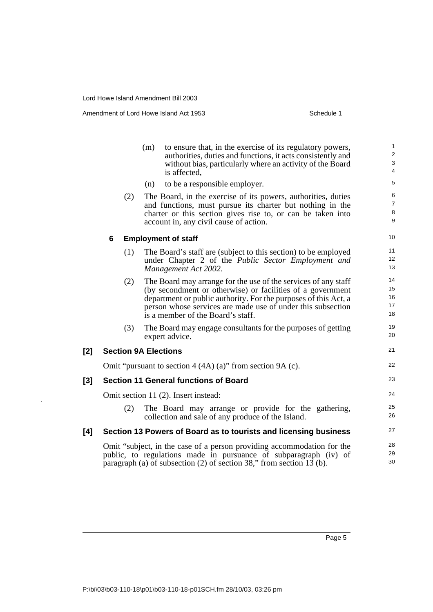$[2]$ 

l.

Amendment of Lord Howe Island Act 1953 Schedule 1

|     |     | to ensure that, in the exercise of its regulatory powers,<br>(m)<br>authorities, duties and functions, it acts consistently and<br>without bias, particularly where an activity of the Board                         | 1<br>$\overline{2}$<br>3 |
|-----|-----|----------------------------------------------------------------------------------------------------------------------------------------------------------------------------------------------------------------------|--------------------------|
|     |     | is affected,                                                                                                                                                                                                         | $\overline{4}$           |
|     |     | to be a responsible employer.<br>(n)                                                                                                                                                                                 | 5                        |
|     | (2) | The Board, in the exercise of its powers, authorities, duties                                                                                                                                                        | 6                        |
|     |     | and functions, must pursue its charter but nothing in the                                                                                                                                                            | $\overline{7}$<br>8      |
|     |     | charter or this section gives rise to, or can be taken into<br>account in, any civil cause of action.                                                                                                                | 9                        |
|     | 6   | <b>Employment of staff</b>                                                                                                                                                                                           | 10                       |
|     | (1) | The Board's staff are (subject to this section) to be employed                                                                                                                                                       | 11                       |
|     |     | under Chapter 2 of the Public Sector Employment and                                                                                                                                                                  | 12<br>13                 |
|     |     | Management Act 2002.                                                                                                                                                                                                 |                          |
|     | (2) | The Board may arrange for the use of the services of any staff<br>(by secondment or otherwise) or facilities of a government                                                                                         | 14<br>15                 |
|     |     | department or public authority. For the purposes of this Act, a                                                                                                                                                      | 16                       |
|     |     | person whose services are made use of under this subsection<br>is a member of the Board's staff.                                                                                                                     | 17<br>18                 |
|     | (3) | The Board may engage consultants for the purposes of getting<br>expert advice.                                                                                                                                       | 19<br>20                 |
| [2] |     | <b>Section 9A Elections</b>                                                                                                                                                                                          | 21                       |
|     |     | Omit "pursuant to section $4(4A)(a)$ " from section $9A(c)$ .                                                                                                                                                        | 22                       |
| [3] |     | <b>Section 11 General functions of Board</b>                                                                                                                                                                         | 23                       |
|     |     | Omit section 11 (2). Insert instead:                                                                                                                                                                                 | 24                       |
|     | (2) | The Board may arrange or provide for the gathering,<br>collection and sale of any produce of the Island.                                                                                                             | 25<br>26                 |
| [4] |     | Section 13 Powers of Board as to tourists and licensing business                                                                                                                                                     | 27                       |
|     |     | Omit "subject, in the case of a person providing accommodation for the<br>public, to regulations made in pursuance of subparagraph (iv) of<br>paragraph (a) of subsection $(2)$ of section 38," from section 13 (b). | 28<br>29<br>30           |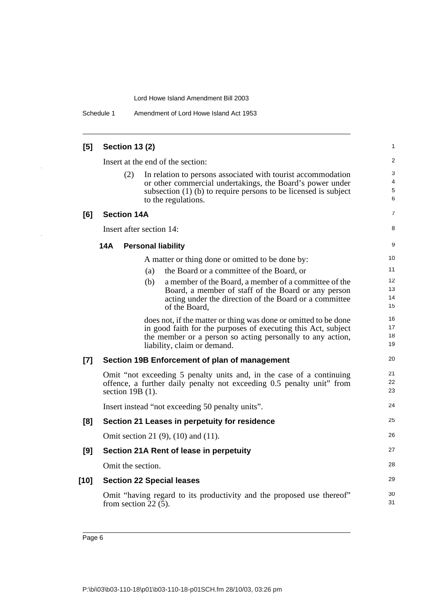Schedule 1 Amendment of Lord Howe Island Act 1953

| [5]    | <b>Section 13 (2)</b> |                                                                                                                                                                                                                               | 1                    |
|--------|-----------------------|-------------------------------------------------------------------------------------------------------------------------------------------------------------------------------------------------------------------------------|----------------------|
|        |                       | Insert at the end of the section:                                                                                                                                                                                             | 2                    |
|        | (2)                   | In relation to persons associated with tourist accommodation<br>or other commercial undertakings, the Board's power under<br>subsection $(1)$ (b) to require persons to be licensed is subject<br>to the regulations.         | 3<br>4<br>5<br>6     |
| [6]    | <b>Section 14A</b>    |                                                                                                                                                                                                                               | 7                    |
|        |                       | Insert after section 14:                                                                                                                                                                                                      | 8                    |
|        | 14A                   | <b>Personal liability</b>                                                                                                                                                                                                     | 9                    |
|        |                       | A matter or thing done or omitted to be done by:                                                                                                                                                                              | 10                   |
|        |                       | the Board or a committee of the Board, or<br>(a)                                                                                                                                                                              | 11                   |
|        |                       | a member of the Board, a member of a committee of the<br>(b)<br>Board, a member of staff of the Board or any person<br>acting under the direction of the Board or a committee<br>of the Board,                                | 12<br>13<br>14<br>15 |
|        |                       | does not, if the matter or thing was done or omitted to be done<br>in good faith for the purposes of executing this Act, subject<br>the member or a person so acting personally to any action,<br>liability, claim or demand. | 16<br>17<br>18<br>19 |
| [7]    |                       | Section 19B Enforcement of plan of management                                                                                                                                                                                 | 20                   |
|        | section $19B(1)$ .    | Omit "not exceeding 5 penalty units and, in the case of a continuing<br>offence, a further daily penalty not exceeding 0.5 penalty unit" from                                                                                 | 21<br>22<br>23       |
|        |                       | Insert instead "not exceeding 50 penalty units".                                                                                                                                                                              | 24                   |
| [8]    |                       | Section 21 Leases in perpetuity for residence                                                                                                                                                                                 | 25                   |
|        |                       | Omit section 21 $(9)$ , $(10)$ and $(11)$ .                                                                                                                                                                                   | 26                   |
| [9]    |                       | Section 21A Rent of lease in perpetuity                                                                                                                                                                                       | 27                   |
|        | Omit the section.     |                                                                                                                                                                                                                               | 28                   |
| $[10]$ |                       | <b>Section 22 Special leases</b>                                                                                                                                                                                              | 29                   |
|        |                       | Omit "having regard to its productivity and the proposed use thereof"<br>from section $22(5)$ .                                                                                                                               | 30<br>31             |
|        |                       |                                                                                                                                                                                                                               |                      |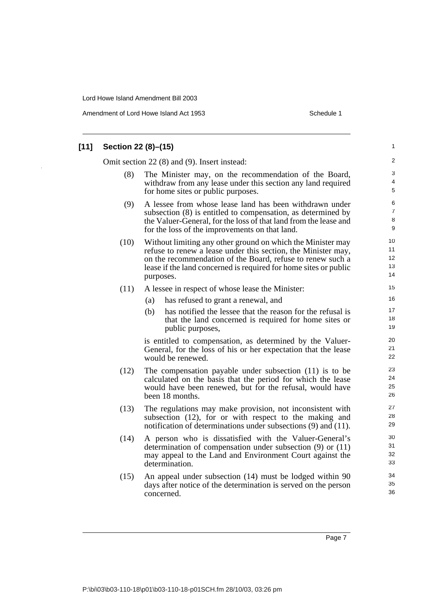Amendment of Lord Howe Island Act 1953 Schedule 1

| $[11]$ | Section 22 (8)-(15) |                                                                                                                                                                                                                                                                             | 1                          |
|--------|---------------------|-----------------------------------------------------------------------------------------------------------------------------------------------------------------------------------------------------------------------------------------------------------------------------|----------------------------|
|        |                     | Omit section 22 (8) and (9). Insert instead:                                                                                                                                                                                                                                | 2                          |
|        | (8)                 | The Minister may, on the recommendation of the Board,<br>withdraw from any lease under this section any land required<br>for home sites or public purposes.                                                                                                                 | 3<br>4<br>5                |
|        | (9)                 | A lessee from whose lease land has been withdrawn under<br>subsection (8) is entitled to compensation, as determined by<br>the Valuer-General, for the loss of that land from the lease and<br>for the loss of the improvements on that land.                               | 6<br>7<br>8<br>9           |
|        | (10)                | Without limiting any other ground on which the Minister may<br>refuse to renew a lease under this section, the Minister may,<br>on the recommendation of the Board, refuse to renew such a<br>lease if the land concerned is required for home sites or public<br>purposes. | 10<br>11<br>12<br>13<br>14 |
|        | (11)                | A lessee in respect of whose lease the Minister:                                                                                                                                                                                                                            | 15                         |
|        |                     | has refused to grant a renewal, and<br>(a)                                                                                                                                                                                                                                  | 16                         |
|        |                     | (b)<br>has notified the lessee that the reason for the refusal is<br>that the land concerned is required for home sites or<br>public purposes,                                                                                                                              | 17<br>18<br>19             |
|        |                     | is entitled to compensation, as determined by the Valuer-<br>General, for the loss of his or her expectation that the lease<br>would be renewed.                                                                                                                            | 20<br>21<br>22             |
|        | (12)                | The compensation payable under subsection $(11)$ is to be<br>calculated on the basis that the period for which the lease<br>would have been renewed, but for the refusal, would have<br>been 18 months.                                                                     | 23<br>24<br>25<br>26       |
|        | (13)                | The regulations may make provision, not inconsistent with<br>subsection (12), for or with respect to the making and<br>notification of determinations under subsections (9) and (11).                                                                                       | 27<br>28<br>29             |
|        | (14)                | A person who is dissatisfied with the Valuer-General's<br>determination of compensation under subsection $(9)$ or $(11)$<br>may appeal to the Land and Environment Court against the<br>determination.                                                                      | 30<br>31<br>32<br>33       |
|        | (15)                | An appeal under subsection (14) must be lodged within 90<br>days after notice of the determination is served on the person<br>concerned.                                                                                                                                    | 34<br>35<br>36             |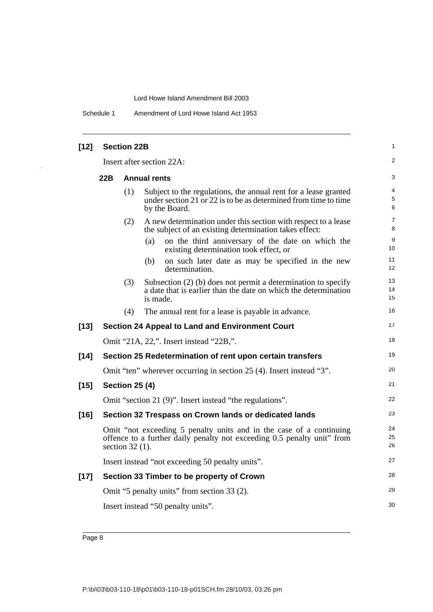Schedule 1 Amendment of Lord Howe Island Act 1953

| $[12]$ | <b>Section 22B</b> |                       |                                                                                                                                                     |                |  |  |
|--------|--------------------|-----------------------|-----------------------------------------------------------------------------------------------------------------------------------------------------|----------------|--|--|
|        |                    |                       | Insert after section 22A:                                                                                                                           | 2              |  |  |
|        | 22B                |                       | <b>Annual rents</b>                                                                                                                                 | 3              |  |  |
|        |                    | (1)                   | Subject to the regulations, the annual rent for a lease granted<br>under section 21 or 22 is to be as determined from time to time<br>by the Board. | 4<br>5<br>6    |  |  |
|        |                    | (2)                   | A new determination under this section with respect to a lease<br>the subject of an existing determination takes effect:                            | 7<br>8         |  |  |
|        |                    |                       | (a)<br>on the third anniversary of the date on which the<br>existing determination took effect, or                                                  | 9<br>10        |  |  |
|        |                    |                       | on such later date as may be specified in the new<br>(b)<br>determination.                                                                          | 11<br>12       |  |  |
|        |                    | (3)                   | Subsection $(2)$ (b) does not permit a determination to specify<br>a date that is earlier than the date on which the determination<br>is made.      | 13<br>14<br>15 |  |  |
|        |                    | (4)                   | The annual rent for a lease is payable in advance.                                                                                                  | 16             |  |  |
| $[13]$ |                    |                       | <b>Section 24 Appeal to Land and Environment Court</b>                                                                                              | 17             |  |  |
|        |                    |                       | Omit "21A, 22,". Insert instead "22B,".                                                                                                             | 18             |  |  |
| $[14]$ |                    |                       | Section 25 Redetermination of rent upon certain transfers                                                                                           | 19             |  |  |
|        |                    |                       | Omit "ten" wherever occurring in section 25 (4). Insert instead "3".                                                                                | 20             |  |  |
| $[15]$ |                    | <b>Section 25 (4)</b> |                                                                                                                                                     | 21             |  |  |
|        |                    |                       | Omit "section 21 (9)". Insert instead "the regulations".                                                                                            | 22             |  |  |
| $[16]$ |                    |                       | Section 32 Trespass on Crown lands or dedicated lands                                                                                               | 23             |  |  |
|        |                    | section $32(1)$ .     | Omit "not exceeding 5 penalty units and in the case of a continuing<br>offence to a further daily penalty not exceeding 0.5 penalty unit" from      | 24<br>25<br>26 |  |  |
|        |                    |                       | Insert instead "not exceeding 50 penalty units".                                                                                                    | 27             |  |  |
| $[17]$ |                    |                       | Section 33 Timber to be property of Crown                                                                                                           | 28             |  |  |
|        |                    |                       | Omit "5 penalty units" from section 33 (2).                                                                                                         | 29             |  |  |
|        |                    |                       | Insert instead "50 penalty units".                                                                                                                  | 30             |  |  |
|        |                    |                       |                                                                                                                                                     |                |  |  |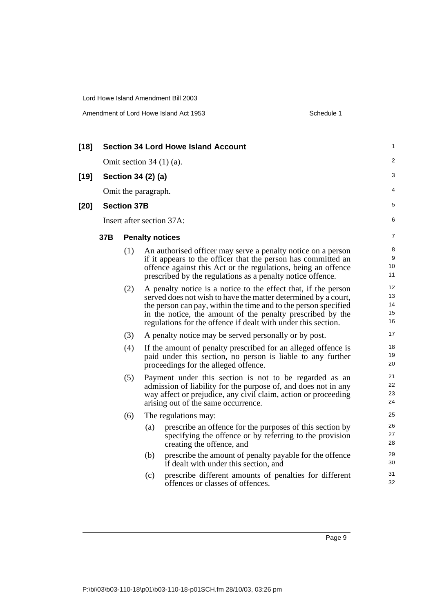$\hat{\boldsymbol{\beta}}$ 

| $[18]$ |     |                    |                           | <b>Section 34 Lord Howe Island Account</b>                                                                                                                                                                                                                                                                                         | 1                          |
|--------|-----|--------------------|---------------------------|------------------------------------------------------------------------------------------------------------------------------------------------------------------------------------------------------------------------------------------------------------------------------------------------------------------------------------|----------------------------|
|        |     |                    | Omit section $34(1)(a)$ . |                                                                                                                                                                                                                                                                                                                                    | 2                          |
| $[19]$ |     |                    | Section 34 (2) (a)        |                                                                                                                                                                                                                                                                                                                                    | 3                          |
|        |     |                    | Omit the paragraph.       |                                                                                                                                                                                                                                                                                                                                    | 4                          |
| $[20]$ |     | <b>Section 37B</b> |                           |                                                                                                                                                                                                                                                                                                                                    | 5                          |
|        |     |                    | Insert after section 37A: |                                                                                                                                                                                                                                                                                                                                    | 6                          |
|        | 37B |                    | <b>Penalty notices</b>    |                                                                                                                                                                                                                                                                                                                                    | 7                          |
|        |     | (1)                |                           | An authorised officer may serve a penalty notice on a person<br>if it appears to the officer that the person has committed an<br>offence against this Act or the regulations, being an offence<br>prescribed by the regulations as a penalty notice offence.                                                                       | 8<br>9<br>10<br>11         |
|        |     | (2)                |                           | A penalty notice is a notice to the effect that, if the person<br>served does not wish to have the matter determined by a court,<br>the person can pay, within the time and to the person specified<br>in the notice, the amount of the penalty prescribed by the<br>regulations for the offence if dealt with under this section. | 12<br>13<br>14<br>15<br>16 |
|        |     | (3)                |                           | A penalty notice may be served personally or by post.                                                                                                                                                                                                                                                                              | 17                         |
|        |     | (4)                |                           | If the amount of penalty prescribed for an alleged offence is<br>paid under this section, no person is liable to any further<br>proceedings for the alleged offence.                                                                                                                                                               | 18<br>19<br>20             |
|        |     | (5)                |                           | Payment under this section is not to be regarded as an<br>admission of liability for the purpose of, and does not in any<br>way affect or prejudice, any civil claim, action or proceeding<br>arising out of the same occurrence.                                                                                                  | 21<br>22<br>23<br>24       |
|        |     | (6)                |                           | The regulations may:                                                                                                                                                                                                                                                                                                               | 25                         |
|        |     |                    | (a)                       | prescribe an offence for the purposes of this section by<br>specifying the offence or by referring to the provision<br>creating the offence, and                                                                                                                                                                                   | 26<br>27<br>28             |
|        |     |                    | (b)                       | prescribe the amount of penalty payable for the offence<br>if dealt with under this section, and                                                                                                                                                                                                                                   | 29<br>30                   |
|        |     |                    | (c)                       | prescribe different amounts of penalties for different<br>offences or classes of offences.                                                                                                                                                                                                                                         | 31<br>32                   |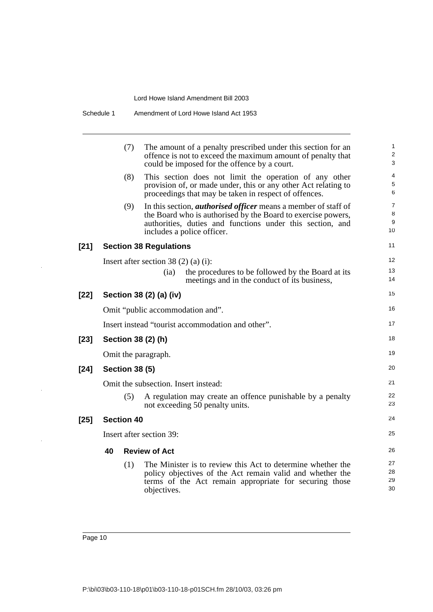|        |    | (7)                   | The amount of a penalty prescribed under this section for an<br>offence is not to exceed the maximum amount of penalty that<br>could be imposed for the offence by a court.                                                      | $\mathbf{1}$<br>$\overline{2}$<br>3 |
|--------|----|-----------------------|----------------------------------------------------------------------------------------------------------------------------------------------------------------------------------------------------------------------------------|-------------------------------------|
|        |    | (8)                   | This section does not limit the operation of any other<br>provision of, or made under, this or any other Act relating to<br>proceedings that may be taken in respect of offences.                                                | $\overline{4}$<br>5<br>6            |
|        |    | (9)                   | In this section, <i>authorised officer</i> means a member of staff of<br>the Board who is authorised by the Board to exercise powers,<br>authorities, duties and functions under this section, and<br>includes a police officer. | $\overline{7}$<br>8<br>9<br>10      |
| $[21]$ |    |                       | <b>Section 38 Regulations</b>                                                                                                                                                                                                    | 11                                  |
|        |    |                       | Insert after section $38(2)$ (a) (i):                                                                                                                                                                                            | $12 \overline{ }$                   |
|        |    |                       | the procedures to be followed by the Board at its<br>(ia)<br>meetings and in the conduct of its business,                                                                                                                        | 13<br>14                            |
| $[22]$ |    |                       | Section 38 (2) (a) (iv)                                                                                                                                                                                                          | 15                                  |
|        |    |                       | Omit "public accommodation and".                                                                                                                                                                                                 | 16                                  |
|        |    |                       | Insert instead "tourist accommodation and other".                                                                                                                                                                                | 17                                  |
| $[23]$ |    |                       | Section 38 (2) (h)                                                                                                                                                                                                               | 18                                  |
|        |    |                       | Omit the paragraph.                                                                                                                                                                                                              | 19                                  |
| $[24]$ |    | <b>Section 38 (5)</b> |                                                                                                                                                                                                                                  | 20                                  |
|        |    |                       | Omit the subsection. Insert instead:                                                                                                                                                                                             | 21                                  |
|        |    | (5)                   | A regulation may create an offence punishable by a penalty<br>not exceeding 50 penalty units.                                                                                                                                    | 22<br>23                            |
| $[25]$ |    | <b>Section 40</b>     |                                                                                                                                                                                                                                  | 24                                  |
|        |    |                       | Insert after section 39:                                                                                                                                                                                                         | 25                                  |
|        | 40 |                       | <b>Review of Act</b>                                                                                                                                                                                                             | 26                                  |
|        |    | (1)                   | The Minister is to review this Act to determine whether the<br>policy objectives of the Act remain valid and whether the<br>terms of the Act remain appropriate for securing those<br>objectives.                                | 27<br>28<br>29<br>30                |
|        |    |                       |                                                                                                                                                                                                                                  |                                     |

Page 10

 $\ddot{\phantom{a}}$ 

i.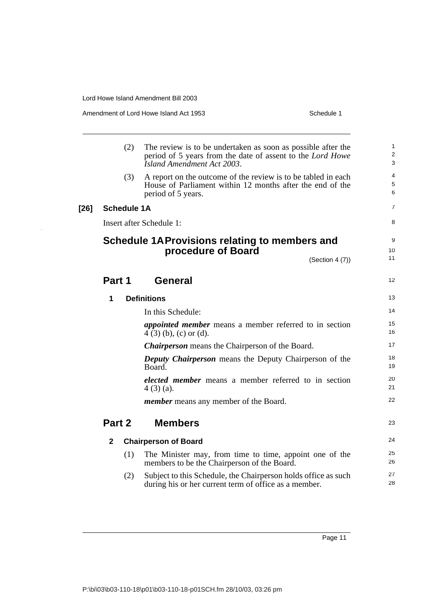Amendment of Lord Howe Island Act 1953 Schedule 1

|        |              | (2)                | The review is to be undertaken as soon as possible after the<br>period of 5 years from the date of assent to the <i>Lord Howe</i><br>Island Amendment Act 2003. | $\mathbf{1}$<br>$\overline{2}$<br>3 |
|--------|--------------|--------------------|-----------------------------------------------------------------------------------------------------------------------------------------------------------------|-------------------------------------|
|        |              | (3)                | A report on the outcome of the review is to be tabled in each<br>House of Parliament within 12 months after the end of the<br>period of 5 years.                | 4<br>5<br>6                         |
| $[26]$ |              | <b>Schedule 1A</b> |                                                                                                                                                                 | $\overline{7}$                      |
|        |              |                    | Insert after Schedule 1:                                                                                                                                        | 8                                   |
|        |              |                    | Schedule 1AProvisions relating to members and<br>procedure of Board<br>(Section 4 $(7)$ )                                                                       | 9<br>10 <sup>°</sup><br>11          |
|        | Part 1       |                    | <b>General</b>                                                                                                                                                  | 12                                  |
|        | 1            |                    | <b>Definitions</b>                                                                                                                                              | 13                                  |
|        |              |                    | In this Schedule:                                                                                                                                               | 14                                  |
|        |              |                    | <i>appointed member</i> means a member referred to in section<br>$4(3)$ (b), (c) or (d).                                                                        | 15<br>16                            |
|        |              |                    | <b>Chairperson</b> means the Chairperson of the Board.                                                                                                          | 17                                  |
|        |              |                    | <b>Deputy Chairperson</b> means the Deputy Chairperson of the<br>Board.                                                                                         | 18<br>19                            |
|        |              |                    | elected member means a member referred to in section<br>$4(3)(a)$ .                                                                                             | 20<br>21                            |
|        |              |                    | <i>member</i> means any member of the Board.                                                                                                                    | 22                                  |
|        | Part 2       |                    | <b>Members</b>                                                                                                                                                  | 23                                  |
|        | $\mathbf{2}$ |                    | <b>Chairperson of Board</b>                                                                                                                                     | 24                                  |
|        |              | (1)                | The Minister may, from time to time, appoint one of the<br>members to be the Chairperson of the Board.                                                          | 25<br>26                            |
|        |              | (2)                | Subject to this Schedule, the Chairperson holds office as such<br>during his or her current term of office as a member.                                         | 27<br>28                            |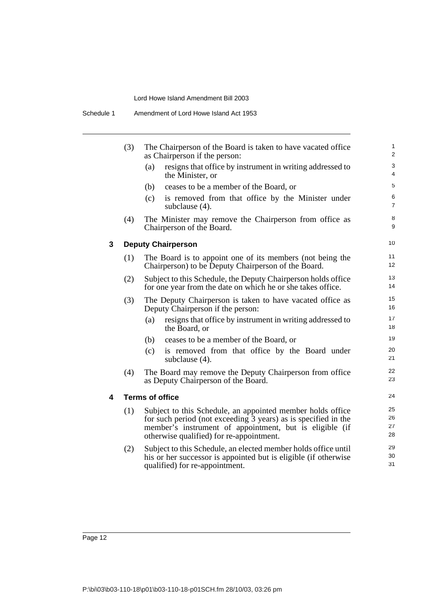|   | (3) |                                                                                                                                                                                                                                                  | The Chairperson of the Board is taken to have vacated office<br>as Chairperson if the person:                                                                       | 1<br>$\overline{c}$ |  |
|---|-----|--------------------------------------------------------------------------------------------------------------------------------------------------------------------------------------------------------------------------------------------------|---------------------------------------------------------------------------------------------------------------------------------------------------------------------|---------------------|--|
|   |     | (a)                                                                                                                                                                                                                                              | resigns that office by instrument in writing addressed to<br>the Minister, or                                                                                       | 3<br>4              |  |
|   |     | (b)                                                                                                                                                                                                                                              | ceases to be a member of the Board, or                                                                                                                              | 5                   |  |
|   |     | (c)                                                                                                                                                                                                                                              | is removed from that office by the Minister under<br>subclause $(4)$ .                                                                                              | 6<br>7              |  |
|   | (4) |                                                                                                                                                                                                                                                  | The Minister may remove the Chairperson from office as<br>Chairperson of the Board.                                                                                 | 8<br>9              |  |
| 3 |     |                                                                                                                                                                                                                                                  | <b>Deputy Chairperson</b>                                                                                                                                           | 10                  |  |
|   | (1) |                                                                                                                                                                                                                                                  | The Board is to appoint one of its members (not being the<br>Chairperson) to be Deputy Chairperson of the Board.                                                    | 11<br>12            |  |
|   | (2) |                                                                                                                                                                                                                                                  | Subject to this Schedule, the Deputy Chairperson holds office<br>for one year from the date on which he or she takes office.                                        | 13<br>14            |  |
|   | (3) |                                                                                                                                                                                                                                                  | The Deputy Chairperson is taken to have vacated office as<br>Deputy Chairperson if the person:                                                                      | 15<br>16            |  |
|   |     | (a)                                                                                                                                                                                                                                              | resigns that office by instrument in writing addressed to<br>the Board, or                                                                                          | 17<br>18            |  |
|   |     | (b)                                                                                                                                                                                                                                              | ceases to be a member of the Board, or                                                                                                                              | 19                  |  |
|   |     | (c)                                                                                                                                                                                                                                              | is removed from that office by the Board under<br>subclause (4).                                                                                                    | 20<br>21            |  |
|   | (4) |                                                                                                                                                                                                                                                  | The Board may remove the Deputy Chairperson from office<br>as Deputy Chairperson of the Board.                                                                      | 22<br>23            |  |
| 4 |     |                                                                                                                                                                                                                                                  | <b>Terms of office</b>                                                                                                                                              | 24                  |  |
|   | (1) | Subject to this Schedule, an appointed member holds office<br>for such period (not exceeding $\overline{3}$ years) as is specified in the<br>member's instrument of appointment, but is eligible (if<br>otherwise qualified) for re-appointment. |                                                                                                                                                                     |                     |  |
|   | (2) |                                                                                                                                                                                                                                                  | Subject to this Schedule, an elected member holds office until<br>his or her successor is appointed but is eligible (if otherwise<br>qualified) for re-appointment. | 29<br>30<br>31      |  |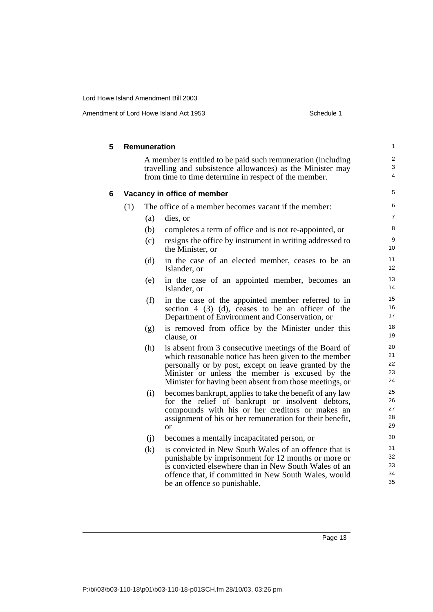Amendment of Lord Howe Island Act 1953 Schedule 1

| 5 |     | Remuneration |                                                                                                                                                                                                                                                                                      | 1                          |
|---|-----|--------------|--------------------------------------------------------------------------------------------------------------------------------------------------------------------------------------------------------------------------------------------------------------------------------------|----------------------------|
|   |     |              | A member is entitled to be paid such remuneration (including<br>travelling and subsistence allowances) as the Minister may<br>from time to time determine in respect of the member.                                                                                                  | $\overline{2}$<br>3<br>4   |
| 6 |     |              | Vacancy in office of member                                                                                                                                                                                                                                                          | 5                          |
|   | (1) |              | The office of a member becomes vacant if the member:                                                                                                                                                                                                                                 | 6                          |
|   |     | (a)          | dies, or                                                                                                                                                                                                                                                                             | 7                          |
|   |     | (b)          | completes a term of office and is not re-appointed, or                                                                                                                                                                                                                               | 8                          |
|   |     | (c)          | resigns the office by instrument in writing addressed to<br>the Minister, or                                                                                                                                                                                                         | 9<br>10                    |
|   |     | (d)          | in the case of an elected member, ceases to be an<br>Islander, or                                                                                                                                                                                                                    | 11<br>12                   |
|   |     | (e)          | in the case of an appointed member, becomes an<br>Islander, or                                                                                                                                                                                                                       | 13<br>14                   |
|   |     | (f)          | in the case of the appointed member referred to in<br>section $4$ (3) (d), ceases to be an officer of the<br>Department of Environment and Conservation, or                                                                                                                          | 15<br>16<br>17             |
|   |     | (g)          | is removed from office by the Minister under this<br>clause, or                                                                                                                                                                                                                      | 18<br>19                   |
|   |     | (h)          | is absent from 3 consecutive meetings of the Board of<br>which reasonable notice has been given to the member<br>personally or by post, except on leave granted by the<br>Minister or unless the member is excused by the<br>Minister for having been absent from those meetings, or | 20<br>21<br>22<br>23<br>24 |
|   |     | (i)          | becomes bankrupt, applies to take the benefit of any law<br>for the relief of bankrupt or insolvent debtors,<br>compounds with his or her creditors or makes an<br>assignment of his or her remuneration for their benefit,<br><b>or</b>                                             | 25<br>26<br>27<br>28<br>29 |
|   |     | (i)          | becomes a mentally incapacitated person, or                                                                                                                                                                                                                                          | 30                         |
|   |     | (k)          | is convicted in New South Wales of an offence that is<br>punishable by imprisonment for 12 months or more or<br>is convicted elsewhere than in New South Wales of an<br>offence that, if committed in New South Wales, would<br>be an offence so punishable.                         | 31<br>32<br>33<br>34<br>35 |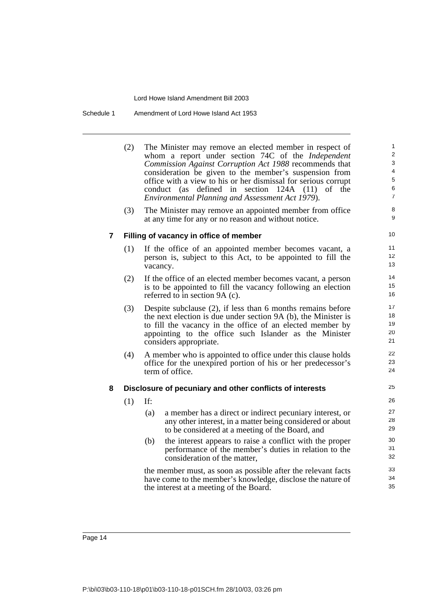# Schedule 1 Amendment of Lord Howe Island Act 1953

|   | (2)                                                                                                                                                                     |                                                                                                                                                | The Minister may remove an elected member in respect of<br>whom a report under section 74C of the <i>Independent</i><br>Commission Against Corruption Act 1988 recommends that<br>consideration be given to the member's suspension from<br>office with a view to his or her dismissal for serious corrupt<br>section<br>conduct (as defined in<br>124A<br>(11)<br>of the<br>Environmental Planning and Assessment Act 1979). | $\mathbf{1}$<br>2<br>3<br>$\overline{\mathbf{4}}$<br>5<br>6<br>$\overline{7}$ |  |
|---|-------------------------------------------------------------------------------------------------------------------------------------------------------------------------|------------------------------------------------------------------------------------------------------------------------------------------------|-------------------------------------------------------------------------------------------------------------------------------------------------------------------------------------------------------------------------------------------------------------------------------------------------------------------------------------------------------------------------------------------------------------------------------|-------------------------------------------------------------------------------|--|
|   | (3)                                                                                                                                                                     |                                                                                                                                                | The Minister may remove an appointed member from office<br>at any time for any or no reason and without notice.                                                                                                                                                                                                                                                                                                               | 8<br>9                                                                        |  |
| 7 |                                                                                                                                                                         |                                                                                                                                                | Filling of vacancy in office of member                                                                                                                                                                                                                                                                                                                                                                                        | 10                                                                            |  |
|   | (1)                                                                                                                                                                     | vacancy.                                                                                                                                       | If the office of an appointed member becomes vacant, a<br>person is, subject to this Act, to be appointed to fill the                                                                                                                                                                                                                                                                                                         | 11<br>12<br>13                                                                |  |
|   | (2)                                                                                                                                                                     |                                                                                                                                                | If the office of an elected member becomes vacant, a person<br>is to be appointed to fill the vacancy following an election<br>referred to in section 9A (c).                                                                                                                                                                                                                                                                 | 14<br>15<br>16                                                                |  |
|   | (3)                                                                                                                                                                     |                                                                                                                                                | Despite subclause $(2)$ , if less than 6 months remains before<br>the next election is due under section 9A (b), the Minister is<br>to fill the vacancy in the office of an elected member by<br>appointing to the office such Islander as the Minister<br>considers appropriate.                                                                                                                                             | 17<br>18<br>19<br>20<br>21                                                    |  |
|   | (4)                                                                                                                                                                     | A member who is appointed to office under this clause holds<br>office for the unexpired portion of his or her predecessor's<br>term of office. |                                                                                                                                                                                                                                                                                                                                                                                                                               |                                                                               |  |
| 8 |                                                                                                                                                                         |                                                                                                                                                | Disclosure of pecuniary and other conflicts of interests                                                                                                                                                                                                                                                                                                                                                                      | 25                                                                            |  |
|   | (1)                                                                                                                                                                     | If:                                                                                                                                            |                                                                                                                                                                                                                                                                                                                                                                                                                               | 26                                                                            |  |
|   |                                                                                                                                                                         | (a)                                                                                                                                            | a member has a direct or indirect pecuniary interest, or<br>any other interest, in a matter being considered or about<br>to be considered at a meeting of the Board, and                                                                                                                                                                                                                                                      | 27<br>28<br>29                                                                |  |
|   |                                                                                                                                                                         | (b)                                                                                                                                            | the interest appears to raise a conflict with the proper<br>performance of the member's duties in relation to the<br>consideration of the matter,                                                                                                                                                                                                                                                                             | 30<br>31<br>32                                                                |  |
|   | the member must, as soon as possible after the relevant facts<br>have come to the member's knowledge, disclose the nature of<br>the interest at a meeting of the Board. |                                                                                                                                                |                                                                                                                                                                                                                                                                                                                                                                                                                               |                                                                               |  |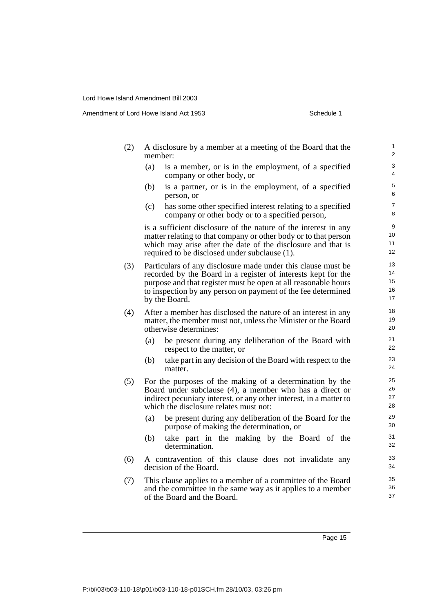Amendment of Lord Howe Island Act 1953 Schedule 1

| (2) | A disclosure by a member at a meeting of the Board that the<br>member:                                                                                                                                                                                                           |                            |  |  |  |  |
|-----|----------------------------------------------------------------------------------------------------------------------------------------------------------------------------------------------------------------------------------------------------------------------------------|----------------------------|--|--|--|--|
|     | (a)<br>is a member, or is in the employment, of a specified<br>company or other body, or                                                                                                                                                                                         | 3<br>4                     |  |  |  |  |
|     | (b)<br>is a partner, or is in the employment, of a specified<br>person, or                                                                                                                                                                                                       | 5<br>6                     |  |  |  |  |
|     | (c)<br>has some other specified interest relating to a specified<br>company or other body or to a specified person,                                                                                                                                                              | $\overline{7}$<br>8        |  |  |  |  |
|     | is a sufficient disclosure of the nature of the interest in any<br>matter relating to that company or other body or to that person<br>which may arise after the date of the disclosure and that is<br>required to be disclosed under subclause (1).                              | 9<br>10<br>11<br>12        |  |  |  |  |
| (3) | Particulars of any disclosure made under this clause must be<br>recorded by the Board in a register of interests kept for the<br>purpose and that register must be open at all reasonable hours<br>to inspection by any person on payment of the fee determined<br>by the Board. | 13<br>14<br>15<br>16<br>17 |  |  |  |  |
| (4) | After a member has disclosed the nature of an interest in any<br>matter, the member must not, unless the Minister or the Board<br>otherwise determines:                                                                                                                          | 18<br>19<br>20             |  |  |  |  |
|     | be present during any deliberation of the Board with<br>(a)<br>respect to the matter, or                                                                                                                                                                                         | 21<br>22                   |  |  |  |  |
|     | take part in any decision of the Board with respect to the<br>(b)<br>matter.                                                                                                                                                                                                     | 23<br>24                   |  |  |  |  |
| (5) | For the purposes of the making of a determination by the<br>Board under subclause (4), a member who has a direct or<br>indirect pecuniary interest, or any other interest, in a matter to<br>which the disclosure relates must not:                                              | 25<br>26<br>27<br>28       |  |  |  |  |
|     | be present during any deliberation of the Board for the<br>(a)<br>purpose of making the determination, or                                                                                                                                                                        | 29<br>30                   |  |  |  |  |
|     | take part in the making by the Board of the<br>(b)<br>determination.                                                                                                                                                                                                             | 31<br>32                   |  |  |  |  |
| (6) | A contravention of this clause does not invalidate any<br>decision of the Board.                                                                                                                                                                                                 | 33<br>34                   |  |  |  |  |
| (7) | This clause applies to a member of a committee of the Board<br>and the committee in the same way as it applies to a member                                                                                                                                                       | 35<br>36                   |  |  |  |  |

Page 15

37

of the Board and the Board.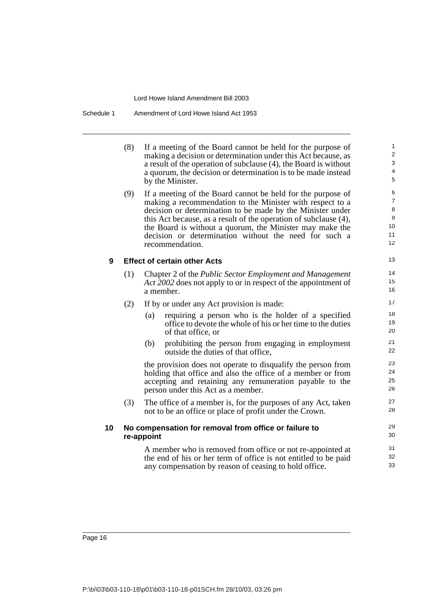|    | (8) | If a meeting of the Board cannot be held for the purpose of<br>making a decision or determination under this Act because, as<br>a result of the operation of subclause (4), the Board is without<br>a quorum, the decision or determination is to be made instead<br>by the Minister.                                                                                                              | 1<br>2<br>3<br>4<br>5                                |
|----|-----|----------------------------------------------------------------------------------------------------------------------------------------------------------------------------------------------------------------------------------------------------------------------------------------------------------------------------------------------------------------------------------------------------|------------------------------------------------------|
|    | (9) | If a meeting of the Board cannot be held for the purpose of<br>making a recommendation to the Minister with respect to a<br>decision or determination to be made by the Minister under<br>this Act because, as a result of the operation of subclause (4),<br>the Board is without a quorum, the Minister may make the<br>decision or determination without the need for such a<br>recommendation. | 6<br>$\overline{7}$<br>$\bf8$<br>9<br>10<br>11<br>12 |
| 9  |     | <b>Effect of certain other Acts</b>                                                                                                                                                                                                                                                                                                                                                                | 13                                                   |
|    | (1) | Chapter 2 of the Public Sector Employment and Management<br>Act 2002 does not apply to or in respect of the appointment of<br>a member.                                                                                                                                                                                                                                                            | 14<br>15<br>16                                       |
|    | (2) | If by or under any Act provision is made:                                                                                                                                                                                                                                                                                                                                                          | 17                                                   |
|    |     | requiring a person who is the holder of a specified<br>(a)<br>office to devote the whole of his or her time to the duties<br>of that office, or                                                                                                                                                                                                                                                    | 18<br>19<br>20                                       |
|    |     | (b)<br>prohibiting the person from engaging in employment<br>outside the duties of that office,                                                                                                                                                                                                                                                                                                    | 21<br>22                                             |
|    |     | the provision does not operate to disqualify the person from<br>holding that office and also the office of a member or from<br>accepting and retaining any remuneration payable to the<br>person under this Act as a member.                                                                                                                                                                       | 23<br>24<br>25<br>26                                 |
|    | (3) | The office of a member is, for the purposes of any Act, taken<br>not to be an office or place of profit under the Crown.                                                                                                                                                                                                                                                                           | 27<br>28                                             |
| 10 |     | No compensation for removal from office or failure to<br>re-appoint                                                                                                                                                                                                                                                                                                                                | 29<br>30                                             |
|    |     | A member who is removed from office or not re-appointed at<br>the end of his or her term of office is not entitled to be paid<br>any compensation by reason of ceasing to hold office                                                                                                                                                                                                              | 31<br>32<br>33                                       |

any compensation by reason of ceasing to hold office.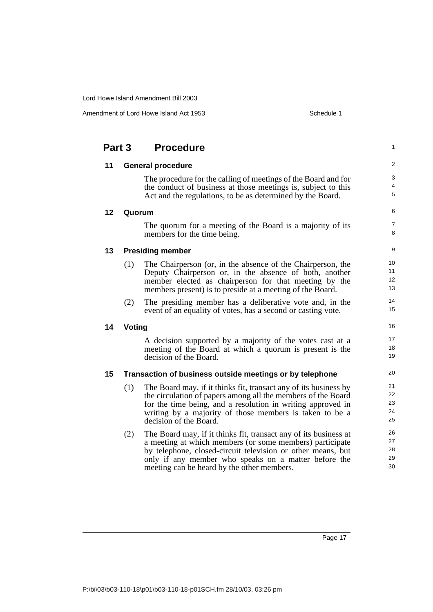Amendment of Lord Howe Island Act 1953 Schedule 1

|         | Part 3 | <b>Procedure</b>                                                                                                                                                                                                                                                                                  | 1                          |
|---------|--------|---------------------------------------------------------------------------------------------------------------------------------------------------------------------------------------------------------------------------------------------------------------------------------------------------|----------------------------|
| 11      |        | <b>General procedure</b>                                                                                                                                                                                                                                                                          | 2                          |
|         |        | The procedure for the calling of meetings of the Board and for<br>the conduct of business at those meetings is, subject to this<br>Act and the regulations, to be as determined by the Board.                                                                                                     | 3<br>4<br>5                |
| $12 \,$ |        | Quorum                                                                                                                                                                                                                                                                                            | 6                          |
|         |        | The quorum for a meeting of the Board is a majority of its<br>members for the time being.                                                                                                                                                                                                         | 7<br>8                     |
| 13      |        | <b>Presiding member</b>                                                                                                                                                                                                                                                                           | 9                          |
|         | (1)    | The Chairperson (or, in the absence of the Chairperson, the<br>Deputy Chairperson or, in the absence of both, another<br>member elected as chairperson for that meeting by the<br>members present) is to preside at a meeting of the Board.                                                       | 10<br>11<br>12<br>13       |
|         | (2)    | The presiding member has a deliberative vote and, in the<br>event of an equality of votes, has a second or casting vote.                                                                                                                                                                          | 14<br>15                   |
| 14      | Voting |                                                                                                                                                                                                                                                                                                   | 16                         |
|         |        | A decision supported by a majority of the votes cast at a<br>meeting of the Board at which a quorum is present is the<br>decision of the Board.                                                                                                                                                   | 17<br>18<br>19             |
| 15      |        | Transaction of business outside meetings or by telephone                                                                                                                                                                                                                                          | 20                         |
|         | (1)    | The Board may, if it thinks fit, transact any of its business by<br>the circulation of papers among all the members of the Board<br>for the time being, and a resolution in writing approved in<br>writing by a majority of those members is taken to be a<br>decision of the Board.              | 21<br>22<br>23<br>24<br>25 |
|         | (2)    | The Board may, if it thinks fit, transact any of its business at<br>a meeting at which members (or some members) participate<br>by telephone, closed-circuit television or other means, but<br>only if any member who speaks on a matter before the<br>meeting can be heard by the other members. | 26<br>27<br>28<br>29<br>30 |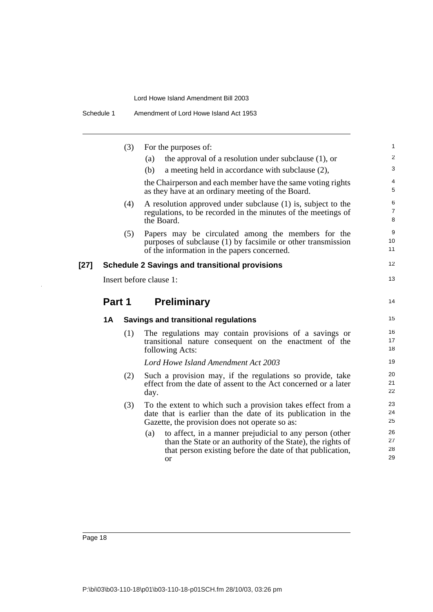|      |    | (3)    | For the purposes of:                                                                                                                                                                                    | 1                    |
|------|----|--------|---------------------------------------------------------------------------------------------------------------------------------------------------------------------------------------------------------|----------------------|
|      |    |        | the approval of a resolution under subclause $(1)$ , or<br>(a)                                                                                                                                          | 2                    |
|      |    |        | (b)<br>a meeting held in accordance with subclause (2),                                                                                                                                                 | 3                    |
|      |    |        | the Chairperson and each member have the same voting rights<br>as they have at an ordinary meeting of the Board.                                                                                        | 4<br>5               |
|      |    | (4)    | A resolution approved under subclause (1) is, subject to the<br>regulations, to be recorded in the minutes of the meetings of<br>the Board.                                                             | 6<br>7<br>8          |
|      |    | (5)    | Papers may be circulated among the members for the<br>purposes of subclause (1) by facsimile or other transmission<br>of the information in the papers concerned.                                       | 9<br>10<br>11        |
| [27] |    |        | <b>Schedule 2 Savings and transitional provisions</b>                                                                                                                                                   | 12                   |
|      |    |        | Insert before clause 1:                                                                                                                                                                                 | 13                   |
|      |    |        |                                                                                                                                                                                                         |                      |
|      |    | Part 1 | <b>Preliminary</b>                                                                                                                                                                                      | 14                   |
|      | 1A |        | <b>Savings and transitional regulations</b>                                                                                                                                                             | 15                   |
|      |    | (1)    | The regulations may contain provisions of a savings or<br>transitional nature consequent on the enactment of the<br>following Acts:                                                                     | 16<br>17<br>18       |
|      |    |        | <b>Lord Howe Island Amendment Act 2003</b>                                                                                                                                                              | 19                   |
|      |    | (2)    | Such a provision may, if the regulations so provide, take<br>effect from the date of assent to the Act concerned or a later<br>day.                                                                     | 20<br>21<br>22       |
|      |    | (3)    | To the extent to which such a provision takes effect from a<br>date that is earlier than the date of its publication in the<br>Gazette, the provision does not operate so as:                           | 23<br>24<br>25       |
|      |    |        | to affect, in a manner prejudicial to any person (other<br>(a)<br>than the State or an authority of the State), the rights of<br>that person existing before the date of that publication,<br><b>or</b> | 26<br>27<br>28<br>29 |

l,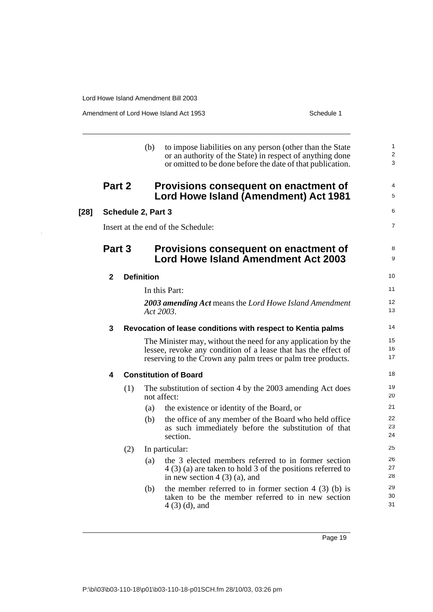Amendment of Lord Howe Island Act 1953 Schedule 1

|      |              |     | (b)                | to impose liabilities on any person (other than the State<br>or an authority of the State) in respect of anything done<br>or omitted to be done before the date of that publication.            | $\mathbf{1}$<br>2<br>3 |
|------|--------------|-----|--------------------|-------------------------------------------------------------------------------------------------------------------------------------------------------------------------------------------------|------------------------|
|      | Part 2       |     |                    | Provisions consequent on enactment of<br>Lord Howe Island (Amendment) Act 1981                                                                                                                  | 4<br>5                 |
| [28] |              |     | Schedule 2, Part 3 |                                                                                                                                                                                                 | 6                      |
|      |              |     |                    | Insert at the end of the Schedule:                                                                                                                                                              | $\overline{7}$         |
|      | Part 3       |     |                    | Provisions consequent on enactment of<br><b>Lord Howe Island Amendment Act 2003</b>                                                                                                             | 8<br>9                 |
|      | $\mathbf{2}$ |     | <b>Definition</b>  |                                                                                                                                                                                                 | 10                     |
|      |              |     |                    | In this Part:                                                                                                                                                                                   | 11                     |
|      |              |     |                    | 2003 amending Act means the Lord Howe Island Amendment<br>Act 2003.                                                                                                                             | 12<br>13               |
|      | 3            |     |                    | Revocation of lease conditions with respect to Kentia palms                                                                                                                                     | 14                     |
|      |              |     |                    | The Minister may, without the need for any application by the<br>lessee, revoke any condition of a lease that has the effect of<br>reserving to the Crown any palm trees or palm tree products. | 15<br>16<br>17         |
|      | 4            |     |                    | <b>Constitution of Board</b>                                                                                                                                                                    | 18                     |
|      |              | (1) |                    | The substitution of section 4 by the 2003 amending Act does<br>not affect:                                                                                                                      | 19<br>20               |
|      |              |     | (a)                | the existence or identity of the Board, or                                                                                                                                                      | 21                     |
|      |              |     | (b)                | the office of any member of the Board who held office<br>as such immediately before the substitution of that<br>section.                                                                        | 22<br>23<br>24         |
|      |              | (2) |                    | In particular:                                                                                                                                                                                  | 25                     |
|      |              |     |                    | (a) the 3 elected members referred to in former section<br>4 (3) (a) are taken to hold 3 of the positions referred to<br>in new section $4(3)(a)$ , and                                         | 26<br>27<br>28         |
|      |              |     | (b)                | the member referred to in former section $4$ (3) (b) is<br>taken to be the member referred to in new section<br>$4(3)(d)$ , and                                                                 | 29<br>30<br>31         |